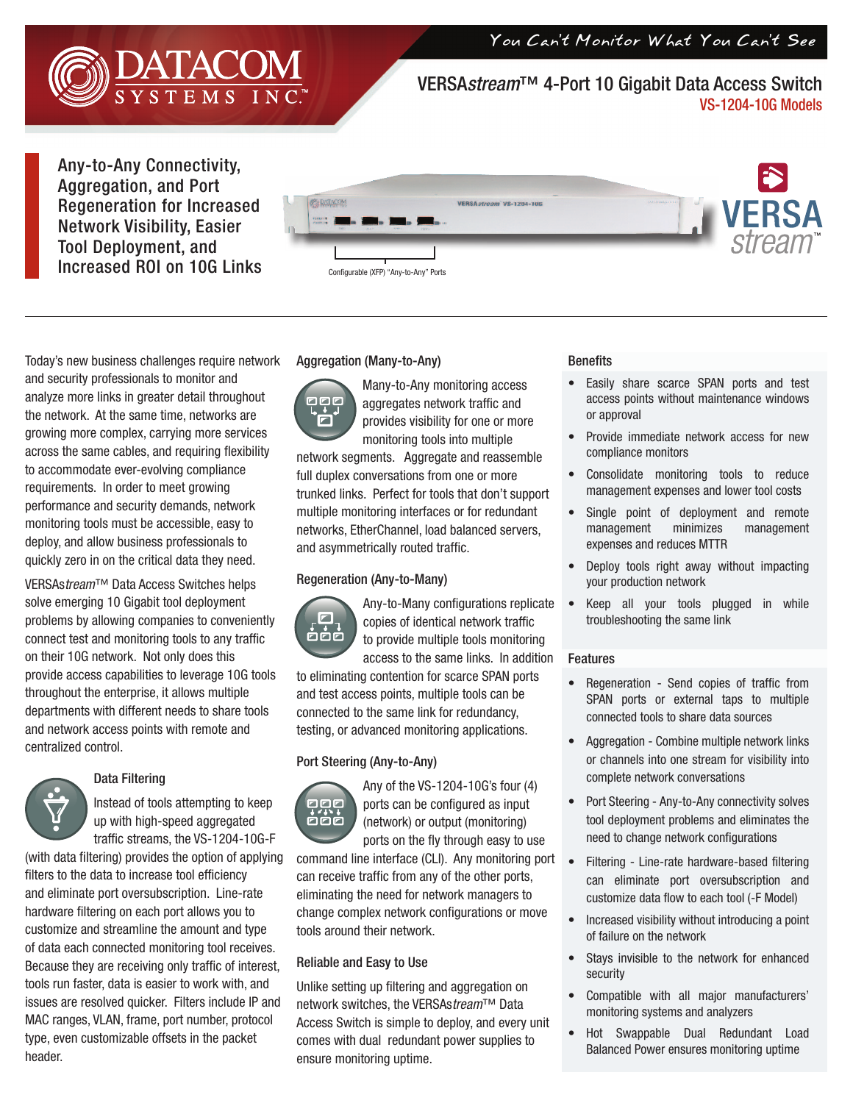You Can't Monitor What You Can't See



VERSA*stream*™ 4-Port 10 Gigabit Data Access Switch VS-1204-10G Models

Any-to-Any Connectivity, Aggregation, and Port Regeneration for Increased Network Visibility, Easier Tool Deployment, and Increased ROI on 10G Links



Today's new business challenges require network and security professionals to monitor and analyze more links in greater detail throughout the network. At the same time, networks are growing more complex, carrying more services across the same cables, and requiring flexibility to accommodate ever-evolving compliance requirements. In order to meet growing performance and security demands, network monitoring tools must be accessible, easy to deploy, and allow business professionals to quickly zero in on the critical data they need.

VERSAs*tream*™ Data Access Switches helps solve emerging 10 Gigabit tool deployment problems by allowing companies to conveniently connect test and monitoring tools to any traffic on their 10G network. Not only does this provide access capabilities to leverage 10G tools throughout the enterprise, it allows multiple departments with different needs to share tools and network access points with remote and centralized control.



### Data Filtering

Instead of tools attempting to keep up with high-speed aggregated traffic streams, the VS-1204-10G-F

(with data filtering) provides the option of applying filters to the data to increase tool efficiency and eliminate port oversubscription. Line-rate hardware filtering on each port allows you to customize and streamline the amount and type of data each connected monitoring tool receives. Because they are receiving only traffic of interest, tools run faster, data is easier to work with, and issues are resolved quicker. Filters include IP and MAC ranges, VLAN, frame, port number, protocol type, even customizable offsets in the packet header.

## Aggregation (Many-to-Any)



Many-to-Any monitoring access aggregates network traffic and provides visibility for one or more monitoring tools into multiple

network segments. Aggregate and reassemble full duplex conversations from one or more trunked links. Perfect for tools that don't support multiple monitoring interfaces or for redundant networks, EtherChannel, load balanced servers, and asymmetrically routed traffic.

### Regeneration (Any-to-Many)



Any-to-Many configurations replicate copies of identical network traffic to provide multiple tools monitoring access to the same links. In addition

to eliminating contention for scarce SPAN ports and test access points, multiple tools can be connected to the same link for redundancy, testing, or advanced monitoring applications.

### Port Steering (Any-to-Any)



Any of the VS-1204-10G's four (4) ports can be configured as input (network) or output (monitoring) ports on the fly through easy to use

command line interface (CLI). Any monitoring port can receive traffic from any of the other ports, eliminating the need for network managers to change complex network configurations or move tools around their network.

### Reliable and Easy to Use

Unlike setting up filtering and aggregation on network switches, the VERSAs*tream*™ Data Access Switch is simple to deploy, and every unit comes with dual redundant power supplies to ensure monitoring uptime.

#### **Benefits**

- Easily share scarce SPAN ports and test access points without maintenance windows or approval
- Provide immediate network access for new compliance monitors
- Consolidate monitoring tools to reduce management expenses and lower tool costs
- Single point of deployment and remote management minimizes management expenses and reduces MTTR
- Deploy tools right away without impacting your production network
- Keep all your tools plugged in while troubleshooting the same link

#### Features

- Regeneration Send copies of traffic from SPAN ports or external taps to multiple connected tools to share data sources
- Aggregation Combine multiple network links or channels into one stream for visibility into complete network conversations
- Port Steering Any-to-Any connectivity solves tool deployment problems and eliminates the need to change network configurations
- Filtering Line-rate hardware-based filtering can eliminate port oversubscription and customize data flow to each tool (-F Model)
- Increased visibility without introducing a point of failure on the network
- Stays invisible to the network for enhanced security
- Compatible with all major manufacturers' monitoring systems and analyzers
- Hot Swappable Dual Redundant Load Balanced Power ensures monitoring uptime